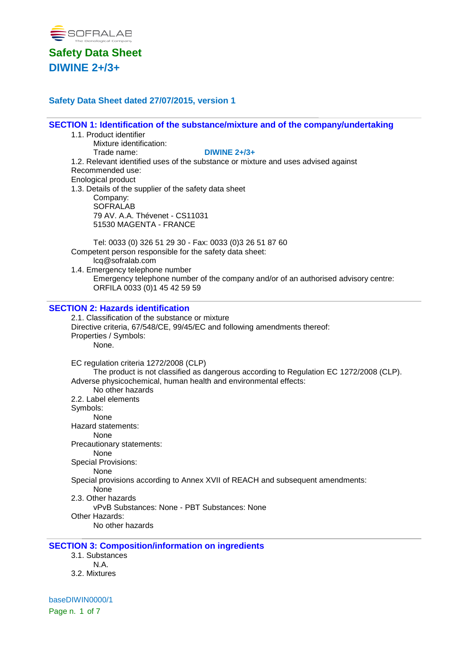

### **Safety Data Sheet dated 27/07/2015, version 1**

# **SECTION 1: Identification of the substance/mixture and of the company/undertaking**

1.1. Product identifier Mixture identification:

Trade name: **DIWINE 2+/3+**

1.2. Relevant identified uses of the substance or mixture and uses advised against Recommended use:

Enological product

1.3. Details of the supplier of the safety data sheet Company: **SOFRALAB** 79 AV. A.A. Thévenet - CS11031 51530 MAGENTA - FRANCE

Tel: 0033 (0) 326 51 29 30 - Fax: 0033 (0)3 26 51 87 60 Competent person responsible for the safety data sheet: lcq@sofralab.com

1.4. Emergency telephone number Emergency telephone number of the company and/or of an authorised advisory centre: ORFILA 0033 (0)1 45 42 59 59

#### **SECTION 2: Hazards identification**

2.1. Classification of the substance or mixture Directive criteria, 67/548/CE, 99/45/EC and following amendments thereof: Properties / Symbols: None. EC regulation criteria 1272/2008 (CLP) The product is not classified as dangerous according to Regulation EC 1272/2008 (CLP). Adverse physicochemical, human health and environmental effects: No other hazards 2.2. Label elements Symbols: None Hazard statements: None Precautionary statements: None Special Provisions: None Special provisions according to Annex XVII of REACH and subsequent amendments: None 2.3. Other hazards vPvB Substances: None - PBT Substances: None Other Hazards:

No other hazards

### **SECTION 3: Composition/information on ingredients**

3.1. Substances N.A. 3.2. Mixtures

baseDIWIN0000/1

Page n. 1 of 7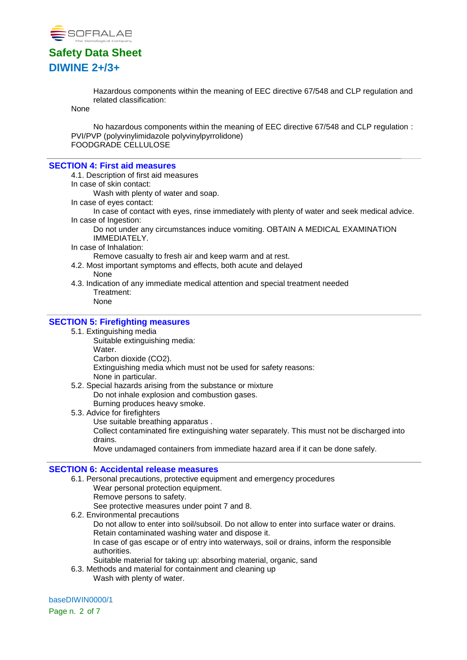

Hazardous components within the meaning of EEC directive 67/548 and CLP regulation and related classification:

None

No hazardous components within the meaning of EEC directive 67/548 and CLP regulation : PVI/PVP (polyvinylimidazole polyvinylpyrrolidone) FOODGRADE CELLULOSE

#### **SECTION 4: First aid measures**

- 4.1. Description of first aid measures
- In case of skin contact:

Wash with plenty of water and soap.

In case of eyes contact:

In case of contact with eyes, rinse immediately with plenty of water and seek medical advice. In case of Ingestion:

Do not under any circumstances induce vomiting. OBTAIN A MEDICAL EXAMINATION IMMEDIATELY.

In case of Inhalation:

Remove casualty to fresh air and keep warm and at rest.

- 4.2. Most important symptoms and effects, both acute and delayed None
- 4.3. Indication of any immediate medical attention and special treatment needed Treatment:

None

#### **SECTION 5: Firefighting measures**

- 5.1. Extinguishing media
	- Suitable extinguishing media:
	- Water. Carbon dioxide (CO2). Extinguishing media which must not be used for safety reasons:
	- None in particular.
- 5.2. Special hazards arising from the substance or mixture Do not inhale explosion and combustion gases.
	- Burning produces heavy smoke.
- 5.3. Advice for firefighters
	- Use suitable breathing apparatus .

Collect contaminated fire extinguishing water separately. This must not be discharged into drains.

Move undamaged containers from immediate hazard area if it can be done safely.

#### **SECTION 6: Accidental release measures**

6.1. Personal precautions, protective equipment and emergency procedures Wear personal protection equipment. Remove persons to safety.

See protective measures under point 7 and 8.

6.2. Environmental precautions

Do not allow to enter into soil/subsoil. Do not allow to enter into surface water or drains. Retain contaminated washing water and dispose it.

In case of gas escape or of entry into waterways, soil or drains, inform the responsible authorities.

Suitable material for taking up: absorbing material, organic, sand

6.3. Methods and material for containment and cleaning up Wash with plenty of water.

baseDIWIN0000/1

Page n. 2 of 7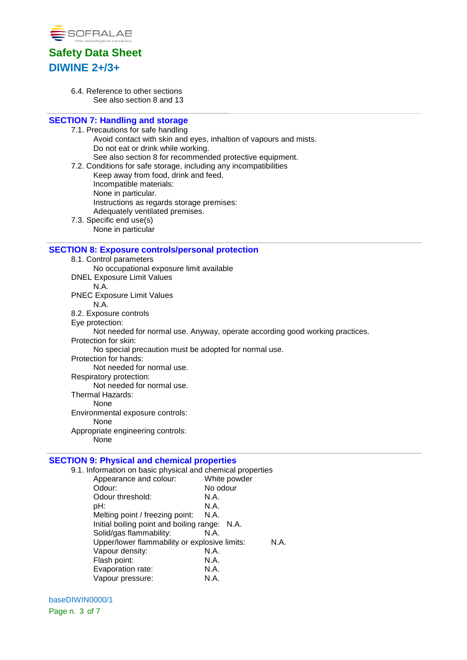

6.4. Reference to other sections See also section 8 and 13

### **SECTION 7: Handling and storage**

- 7.1. Precautions for safe handling Avoid contact with skin and eyes, inhaltion of vapours and mists. Do not eat or drink while working. See also section 8 for recommended protective equipment.
	-
- 7.2. Conditions for safe storage, including any incompatibilities Keep away from food, drink and feed.
	- Incompatible materials:
	-
	- None in particular.
	- Instructions as regards storage premises:
	- Adequately ventilated premises.
- 7.3. Specific end use(s)
	- None in particular

#### **SECTION 8: Exposure controls/personal protection**

- 8.1. Control parameters
- No occupational exposure limit available DNEL Exposure Limit Values
- N.A.
- PNEC Exposure Limit Values N.A.
- 8.2. Exposure controls
- Eye protection:
- Not needed for normal use. Anyway, operate according good working practices.
- Protection for skin:
	- No special precaution must be adopted for normal use.
- Protection for hands:
	- Not needed for normal use.
- Respiratory protection:
- Not needed for normal use.
- Thermal Hazards:
	- None
- Environmental exposure controls:
	- None
- Appropriate engineering controls:
	- None

### **SECTION 9: Physical and chemical properties**

9.1. Information on basic physical and chemical properties Appearance and colour: White powder Odour: No odour

| Odour:                                        | No odour |     |
|-----------------------------------------------|----------|-----|
| Odour threshold:                              | N.A.     |     |
| pH:                                           | N.A.     |     |
| Melting point / freezing point:               | N.A.     |     |
| Initial boiling point and boiling range: N.A. |          |     |
| Solid/gas flammability:                       | N.A.     |     |
| Upper/lower flammability or explosive limits: |          | N A |
| Vapour density:                               | N.A.     |     |
| Flash point:                                  | N.A.     |     |
| Evaporation rate:                             | N.A.     |     |
| Vapour pressure:                              | N.A.     |     |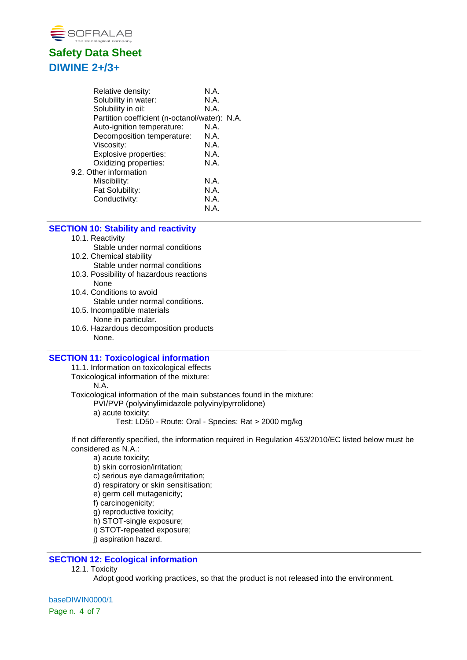

| N.A. |                                               |
|------|-----------------------------------------------|
| N.A. |                                               |
| N.A. |                                               |
|      |                                               |
| N.A. |                                               |
| N.A. |                                               |
| N.A. |                                               |
| N.A. |                                               |
| N.A. |                                               |
|      |                                               |
| N.A. |                                               |
| N.A. |                                               |
| N.A. |                                               |
| N.A. |                                               |
|      | Partition coefficient (n-octanol/water): N.A. |

### **SECTION 10: Stability and reactivity**

- 10.1. Reactivity Stable under normal conditions
- 10.2. Chemical stability Stable under normal conditions
- 10.3. Possibility of hazardous reactions None
- 10.4. Conditions to avoid Stable under normal conditions.
- 10.5. Incompatible materials None in particular.
- 10.6. Hazardous decomposition products None.

#### **SECTION 11: Toxicological information**

11.1. Information on toxicological effects

Toxicological information of the mixture:

N.A.

Toxicological information of the main substances found in the mixture:

PVI/PVP (polyvinylimidazole polyvinylpyrrolidone)

a) acute toxicity:

Test: LD50 - Route: Oral - Species: Rat > 2000 mg/kg

If not differently specified, the information required in Regulation 453/2010/EC listed below must be considered as N.A.:

a) acute toxicity;

b) skin corrosion/irritation;

- c) serious eye damage/irritation;
- d) respiratory or skin sensitisation;
- e) germ cell mutagenicity;
- f) carcinogenicity;
- g) reproductive toxicity;
- h) STOT-single exposure;
- i) STOT-repeated exposure;
- j) aspiration hazard.

### **SECTION 12: Ecological information**

12.1. Toxicity

Adopt good working practices, so that the product is not released into the environment.

baseDIWIN0000/1 Page n. 4 of 7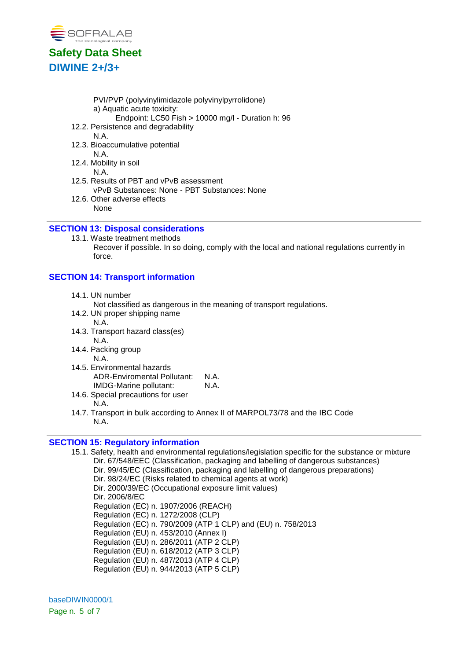

- PVI/PVP (polyvinylimidazole polyvinylpyrrolidone) a) Aquatic acute toxicity:
	- Endpoint: LC50 Fish > 10000 mg/l Duration h: 96
- 12.2. Persistence and degradability
	- N.A.
- 12.3. Bioaccumulative potential N.A.
- 12.4. Mobility in soil N.A.
- 12.5. Results of PBT and vPvB assessment vPvB Substances: None - PBT Substances: None
- 12.6. Other adverse effects None

### **SECTION 13: Disposal considerations**

13.1. Waste treatment methods Recover if possible. In so doing, comply with the local and national regulations currently in force.

## **SECTION 14: Transport information**

14.1. UN number

Not classified as dangerous in the meaning of transport regulations.

- 14.2. UN proper shipping name N.A.
- 14.3. Transport hazard class(es) N.A.
- 14.4. Packing group N.A.
- 14.5. Environmental hazards ADR-Enviromental Pollutant: N.A.<br>IMDG-Marine pollutant: N.A. IMDG-Marine pollutant:
- 14.6. Special precautions for user

### N.A.

14.7. Transport in bulk according to Annex II of MARPOL73/78 and the IBC Code N.A.

### **SECTION 15: Regulatory information**

15.1. Safety, health and environmental regulations/legislation specific for the substance or mixture Dir. 67/548/EEC (Classification, packaging and labelling of dangerous substances) Dir. 99/45/EC (Classification, packaging and labelling of dangerous preparations) Dir. 98/24/EC (Risks related to chemical agents at work) Dir. 2000/39/EC (Occupational exposure limit values) Dir. 2006/8/EC Regulation (EC) n. 1907/2006 (REACH) Regulation (EC) n. 1272/2008 (CLP) Regulation (EC) n. 790/2009 (ATP 1 CLP) and (EU) n. 758/2013 Regulation (EU) n. 453/2010 (Annex I) Regulation (EU) n. 286/2011 (ATP 2 CLP) Regulation (EU) n. 618/2012 (ATP 3 CLP) Regulation (EU) n. 487/2013 (ATP 4 CLP) Regulation (EU) n. 944/2013 (ATP 5 CLP)

baseDIWIN0000/1 Page n. 5 of 7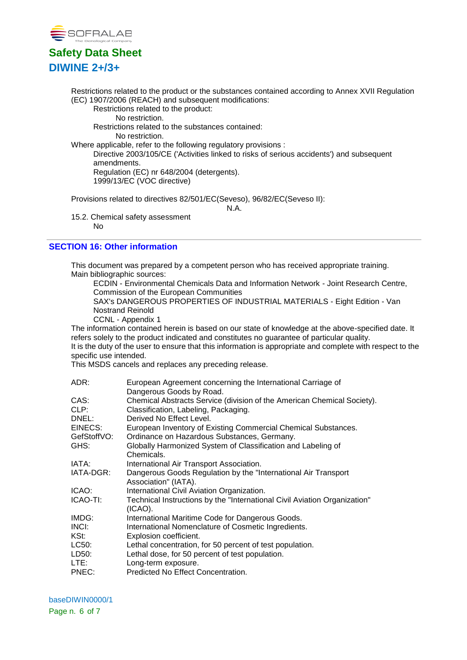

Restrictions related to the product or the substances contained according to Annex XVII Regulation (EC) 1907/2006 (REACH) and subsequent modifications:

Restrictions related to the product: No restriction. Restrictions related to the substances contained:

No restriction.

Where applicable, refer to the following regulatory provisions : Directive 2003/105/CE ('Activities linked to risks of serious accidents') and subsequent amendments. Regulation (EC) nr 648/2004 (detergents).

1999/13/EC (VOC directive)

Provisions related to directives 82/501/EC(Seveso), 96/82/EC(Seveso II):

N.A.

15.2. Chemical safety assessment No

## **SECTION 16: Other information**

This document was prepared by a competent person who has received appropriate training. Main bibliographic sources:

ECDIN - Environmental Chemicals Data and Information Network - Joint Research Centre, Commission of the European Communities

SAX's DANGEROUS PROPERTIES OF INDUSTRIAL MATERIALS - Eight Edition - Van Nostrand Reinold

CCNL - Appendix 1

The information contained herein is based on our state of knowledge at the above-specified date. It refers solely to the product indicated and constitutes no guarantee of particular quality. It is the duty of the user to ensure that this information is appropriate and complete with respect to the specific use intended.

This MSDS cancels and replaces any preceding release.

| ADR:        | European Agreement concerning the International Carriage of<br>Dangerous Goods by Road. |
|-------------|-----------------------------------------------------------------------------------------|
| CAS:        | Chemical Abstracts Service (division of the American Chemical Society).                 |
| CLP:        | Classification, Labeling, Packaging.                                                    |
| DNEL:       | Derived No Effect Level.                                                                |
| EINECS:     | European Inventory of Existing Commercial Chemical Substances.                          |
| GefStoffVO: | Ordinance on Hazardous Substances, Germany.                                             |
| GHS:        | Globally Harmonized System of Classification and Labeling of<br>Chemicals.              |
| IATA:       | International Air Transport Association.                                                |
| IATA-DGR:   | Dangerous Goods Regulation by the "International Air Transport"<br>Association" (IATA). |
| ICAO:       | International Civil Aviation Organization.                                              |
| ICAO-TI:    | Technical Instructions by the "International Civil Aviation Organization"<br>$(ICAO)$ . |
| IMDG:       | International Maritime Code for Dangerous Goods.                                        |
| INCI:       | International Nomenclature of Cosmetic Ingredients.                                     |
| KSt:        | Explosion coefficient.                                                                  |
| LC50:       | Lethal concentration, for 50 percent of test population.                                |
| LD50:       | Lethal dose, for 50 percent of test population.                                         |
| LTE:        | Long-term exposure.                                                                     |
| PNEC:       | Predicted No Effect Concentration.                                                      |